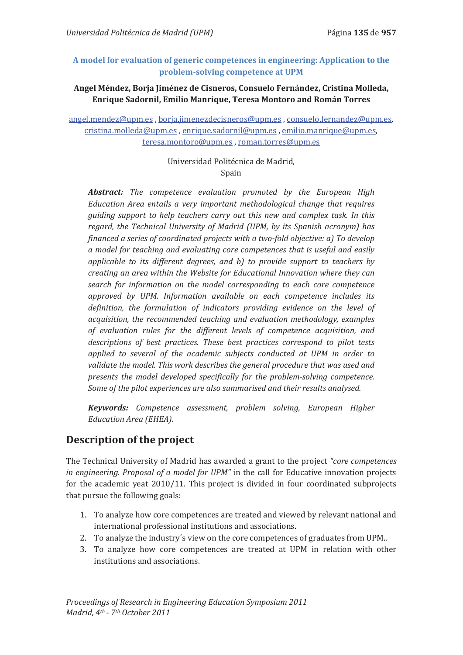### **A model for evaluation of generic competences in engineering: Application to the problem-solving competence at UPM**

### **Angel Méndez, Borja Jiménez de Cisneros, Consuelo Fernández, Cristina Molleda, Enrique Sadornil, Emilio Manrique, Teresa Montoro and Román Torres**

angel.mendez@upm.es , borja.jimenezdecisneros@upm.es , consuelo.fernandez@upm.es, cristina.molleda@upm.es , enrique.sadornil@upm.es , emilio.manrique@upm.es, teresa.montoro@upm.es , roman.torres@upm.es

### Universidad Politécnica de Madrid, Spain

*Abstract: The competence evaluation promoted by the European High Education Area entails a very important methodological change that requires guiding support to help teachers carry out this new and complex task. In this regard, the Technical University of Madrid (UPM, by its Spanish acronym) has financed a series of coordinated projects with a two-fold objective: a) To develop a model for teaching and evaluating core competences that is useful and easily applicable to its different degrees, and b) to provide support to teachers by creating an area within the Website for Educational Innovation where they can search for information on the model corresponding to each core competence approved by UPM. Information available on each competence includes its definition, the formulation of indicators providing evidence on the level of acquisition, the recommended teaching and evaluation methodology, examples of evaluation rules for the different levels of competence acquisition, and descriptions of best practices. These best practices correspond to pilot tests applied to several of the academic subjects conducted at UPM in order to validate the model. This work describes the general procedure that was used and presents the model developed specifically for the problem-solving competence. Some of the pilot experiences are also summarised and their results analysed.* 

*Keywords: Competence assessment, problem solving, European Higher Education Area (EHEA).* 

# **Description of the project**

The Technical University of Madrid has awarded a grant to the project *"core competences in engineering. Proposal of a model for UPM"* in the call for Educative innovation projects for the academic yeat 2010/11. This project is divided in four coordinated subprojects that pursue the following goals:

- 1. To analyze how core competences are treated and viewed by relevant national and international professional institutions and associations.
- 2. To analyze the industry´s view on the core competences of graduates from UPM..
- 3. To analyze how core competences are treated at UPM in relation with other institutions and associations.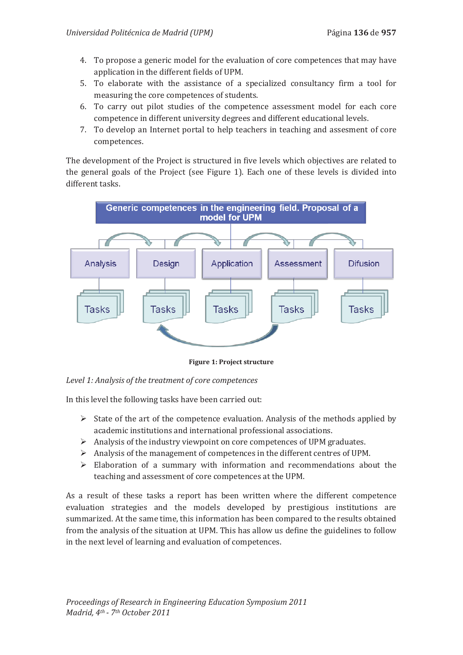- 4. To propose a generic model for the evaluation of core competences that may have application in the different fields of UPM.
- 5. To elaborate with the assistance of a specialized consultancy firm a tool for measuring the core competences of students.
- 6. To carry out pilot studies of the competence assessment model for each core competence in different university degrees and different educational levels.
- 7. To develop an Internet portal to help teachers in teaching and assesment of core competences.

The development of the Project is structured in five levels which objectives are related to the general goals of the Project (see Figure 1). Each one of these levels is divided into different tasks.



**Figure 1: Project structure** 

*Level 1: Analysis of the treatment of core competences* 

In this level the following tasks have been carried out:

- $\triangleright$  State of the art of the competence evaluation. Analysis of the methods applied by academic institutions and international professional associations.
- $\triangleright$  Analysis of the industry viewpoint on core competences of UPM graduates.
- ¾ Analysis of the management of competences in the different centres of UPM.
- $\triangleright$  Elaboration of a summary with information and recommendations about the teaching and assessment of core competences at the UPM.

As a result of these tasks a report has been written where the different competence evaluation strategies and the models developed by prestigious institutions are summarized. At the same time, this information has been compared to the results obtained from the analysis of the situation at UPM. This has allow us define the guidelines to follow in the next level of learning and evaluation of competences.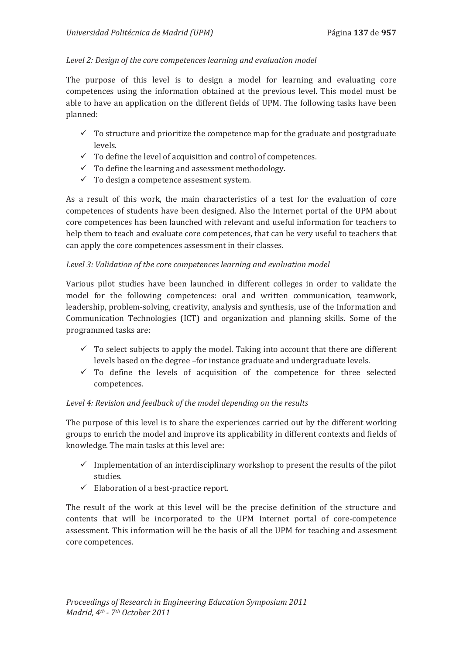### *Level 2: Design of the core competences learning and evaluation model*

The purpose of this level is to design a model for learning and evaluating core competences using the information obtained at the previous level. This model must be able to have an application on the different fields of UPM. The following tasks have been planned:

- $\checkmark$  To structure and prioritize the competence map for the graduate and postgraduate levels.
- $\checkmark$  To define the level of acquisition and control of competences.
- $\checkmark$  To define the learning and assessment methodology.
- $\checkmark$  To design a competence assesment system.

As a result of this work, the main characteristics of a test for the evaluation of core competences of students have been designed. Also the Internet portal of the UPM about core competences has been launched with relevant and useful information for teachers to help them to teach and evaluate core competences, that can be very useful to teachers that can apply the core competences assessment in their classes.

#### *Level 3: Validation of the core competences learning and evaluation model*

Various pilot studies have been launched in different colleges in order to validate the model for the following competences: oral and written communication, teamwork, leadership, problem-solving, creativity, analysis and synthesis, use of the Information and Communication Technologies (ICT) and organization and planning skills. Some of the programmed tasks are:

- $\checkmark$  To select subjects to apply the model. Taking into account that there are different levels based on the degree –for instance graduate and undergraduate levels.
- $\checkmark$  To define the levels of acquisition of the competence for three selected competences.

### *Level 4: Revision and feedback of the model depending on the results*

The purpose of this level is to share the experiences carried out by the different working groups to enrich the model and improve its applicability in different contexts and fields of knowledge. The main tasks at this level are:

- $\checkmark$  Implementation of an interdisciplinary workshop to present the results of the pilot studies.
- $\checkmark$  Elaboration of a best-practice report.

The result of the work at this level will be the precise definition of the structure and contents that will be incorporated to the UPM Internet portal of core-competence assessment. This information will be the basis of all the UPM for teaching and assesment core competences.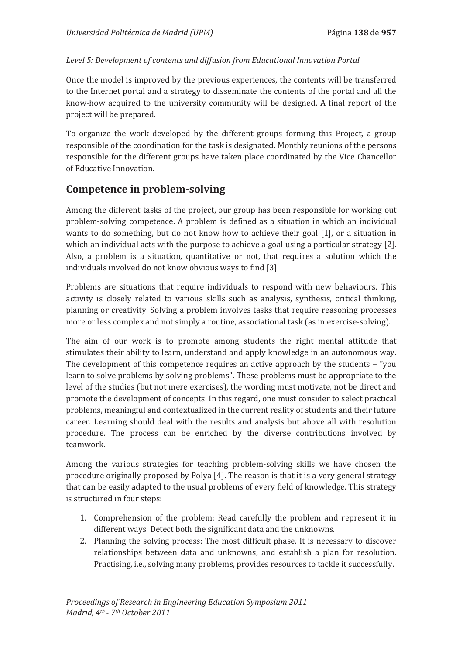### Level 5: Development of contents and diffusion from Educational Innovation Portal

Once the model is improved by the previous experiences, the contents will be transferred to the Internet portal and a strategy to disseminate the contents of the portal and all the know-how acquired to the university community will be designed. A final report of the project will be prepared.

To organize the work developed by the different groups forming this Project, a group responsible of the coordination for the task is designated. Monthly reunions of the persons responsible for the different groups have taken place coordinated by the Vice Chancellor of Educative Innovation.

### **Competence in problem-solving**

Among the different tasks of the project, our group has been responsible for working out problem-solving competence. A problem is defined as a situation in which an individual wants to do something, but do not know how to achieve their goal [1], or a situation in which an individual acts with the purpose to achieve a goal using a particular strategy [2]. Also, a problem is a situation, quantitative or not, that requires a solution which the individuals involved do not know obvious ways to find [3].

Problems are situations that require individuals to respond with new behaviours. This activity is closely related to various skills such as analysis, synthesis, critical thinking, planning or creativity. Solving a problem involves tasks that require reasoning processes more or less complex and not simply a routine, associational task (as in exercise-solving).

The aim of our work is to promote among students the right mental attitude that stimulates their ability to learn, understand and apply knowledge in an autonomous way. The development of this competence requires an active approach by the students – "you learn to solve problems by solving problems". These problems must be appropriate to the level of the studies (but not mere exercises), the wording must motivate, not be direct and promote the development of concepts. In this regard, one must consider to select practical problems, meaningful and contextualized in the current reality of students and their future career. Learning should deal with the results and analysis but above all with resolution procedure. The process can be enriched by the diverse contributions involved by teamwork.

Among the various strategies for teaching problem-solving skills we have chosen the procedure originally proposed by Polya [4]. The reason is that it is a very general strategy that can be easily adapted to the usual problems of every field of knowledge. This strategy is structured in four steps:

- 1. Comprehension of the problem: Read carefully the problem and represent it in different ways. Detect both the significant data and the unknowns.
- 2. Planning the solving process: The most difficult phase. It is necessary to discover relationships between data and unknowns, and establish a plan for resolution. Practising, i.e., solving many problems, provides resources to tackle it successfully.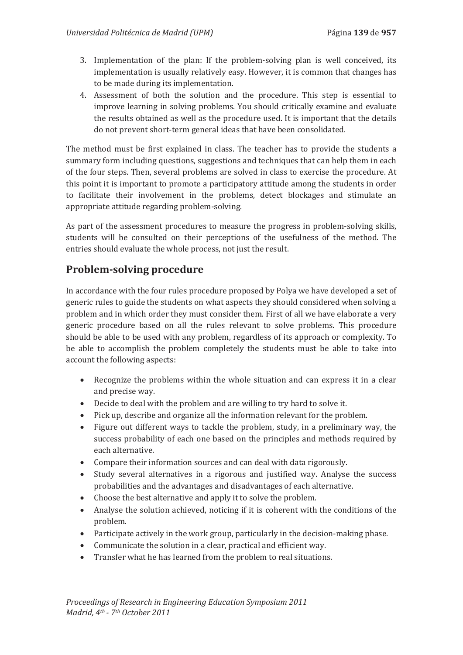- 3. Implementation of the plan: If the problem-solving plan is well conceived, its implementation is usually relatively easy. However, it is common that changes has to be made during its implementation.
- 4. Assessment of both the solution and the procedure. This step is essential to improve learning in solving problems. You should critically examine and evaluate the results obtained as well as the procedure used. It is important that the details do not prevent short-term general ideas that have been consolidated.

The method must be first explained in class. The teacher has to provide the students a summary form including questions, suggestions and techniques that can help them in each of the four steps. Then, several problems are solved in class to exercise the procedure. At this point it is important to promote a participatory attitude among the students in order to facilitate their involvement in the problems, detect blockages and stimulate an appropriate attitude regarding problem-solving.

As part of the assessment procedures to measure the progress in problem-solving skills, students will be consulted on their perceptions of the usefulness of the method. The entries should evaluate the whole process, not just the result.

# **Problem-solving procedure**

In accordance with the four rules procedure proposed by Polya we have developed a set of generic rules to guide the students on what aspects they should considered when solving a problem and in which order they must consider them. First of all we have elaborate a very generic procedure based on all the rules relevant to solve problems. This procedure should be able to be used with any problem, regardless of its approach or complexity. To be able to accomplish the problem completely the students must be able to take into account the following aspects:

- Recognize the problems within the whole situation and can express it in a clear and precise way.
- Decide to deal with the problem and are willing to try hard to solve it.
- Pick up, describe and organize all the information relevant for the problem.
- Figure out different ways to tackle the problem, study, in a preliminary way, the success probability of each one based on the principles and methods required by each alternative.
- Compare their information sources and can deal with data rigorously.
- Study several alternatives in a rigorous and justified way. Analyse the success probabilities and the advantages and disadvantages of each alternative.
- Choose the best alternative and apply it to solve the problem.
- Analyse the solution achieved, noticing if it is coherent with the conditions of the problem.
- $\bullet$  Participate actively in the work group, particularly in the decision-making phase.
- Communicate the solution in a clear, practical and efficient way.
- Transfer what he has learned from the problem to real situations.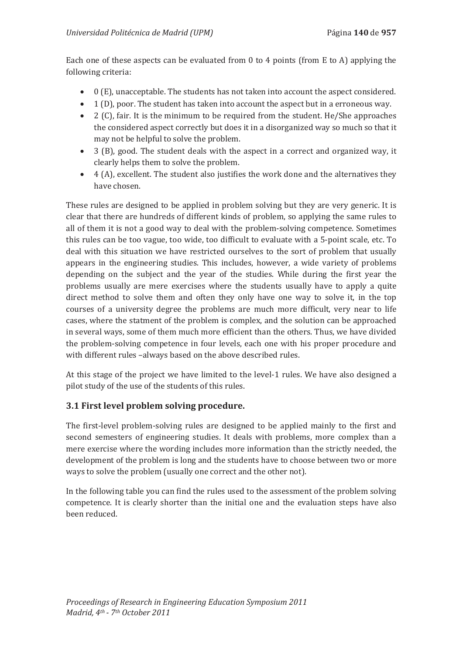Each one of these aspects can be evaluated from 0 to 4 points (from E to A) applying the following criteria:

- $\bullet$  0 (E), unacceptable. The students has not taken into account the aspect considered.
- $\bullet$  1 (D), poor. The student has taken into account the aspect but in a erroneous way.
- $\bullet$  2 (C), fair. It is the minimum to be required from the student. He/She approaches the considered aspect correctly but does it in a disorganized way so much so that it may not be helpful to solve the problem.
- 3 (B), good. The student deals with the aspect in a correct and organized way, it clearly helps them to solve the problem.
- $\bullet$  4 (A), excellent. The student also justifies the work done and the alternatives they have chosen.

These rules are designed to be applied in problem solving but they are very generic. It is clear that there are hundreds of different kinds of problem, so applying the same rules to all of them it is not a good way to deal with the problem-solving competence. Sometimes this rules can be too vague, too wide, too difficult to evaluate with a 5-point scale, etc. To deal with this situation we have restricted ourselves to the sort of problem that usually appears in the engineering studies. This includes, however, a wide variety of problems depending on the subject and the year of the studies. While during the first year the problems usually are mere exercises where the students usually have to apply a quite direct method to solve them and often they only have one way to solve it, in the top courses of a university degree the problems are much more difficult, very near to life cases, where the statment of the problem is complex, and the solution can be approached in several ways, some of them much more efficient than the others. Thus, we have divided the problem-solving competence in four levels, each one with his proper procedure and with different rules -always based on the above described rules.

At this stage of the project we have limited to the level-1 rules. We have also designed a pilot study of the use of the students of this rules.

### **3.1 First level problem solving procedure.**

The first-level problem-solving rules are designed to be applied mainly to the first and second semesters of engineering studies. It deals with problems, more complex than a mere exercise where the wording includes more information than the strictly needed, the development of the problem is long and the students have to choose between two or more ways to solve the problem (usually one correct and the other not).

In the following table you can find the rules used to the assessment of the problem solving competence. It is clearly shorter than the initial one and the evaluation steps have also been reduced.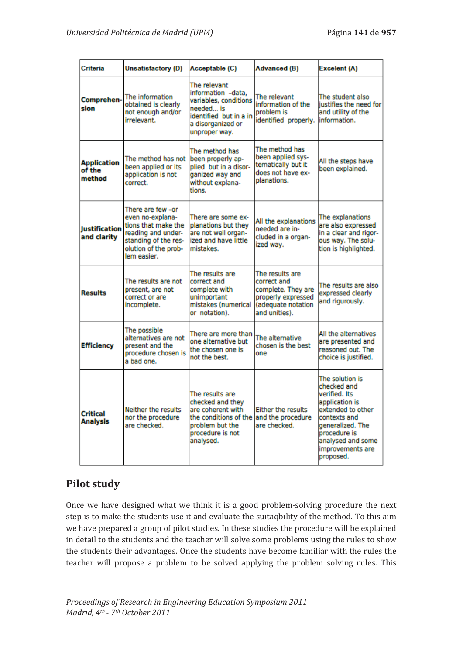| Criteria                               | <b>Unsatisfactory (D)</b>                                                                                                                         | Acceptable (C)                                                                                                                                          | Advanced (B)                                                                                                      | Excelent (A)                                                                                                                                                                                     |
|----------------------------------------|---------------------------------------------------------------------------------------------------------------------------------------------------|---------------------------------------------------------------------------------------------------------------------------------------------------------|-------------------------------------------------------------------------------------------------------------------|--------------------------------------------------------------------------------------------------------------------------------------------------------------------------------------------------|
| Comprehen-<br>sion                     | The information<br>obtained is clearly<br>not enough and/or<br>irrelevant.                                                                        | The relevant<br>information -data.<br>variables, conditions<br>needed is<br>identified but in a in<br>a disorganized or<br>unproper way.                | The relevant<br>information of the<br>problem is<br>identified properly.                                          | The student also<br>justifies the need for<br>and utility of the<br>information.                                                                                                                 |
| <b>Application</b><br>of the<br>method | The method has not<br>been applied or its<br>application is not<br>correct.                                                                       | The method has<br>been properly ap-<br>plied but in a disor-<br>ganized way and<br>without explana-<br>tions.                                           | The method has<br>been applied sys-<br>tematically but it<br>does not have ex-<br>planations.                     | All the steps have<br>been explained.                                                                                                                                                            |
| <b>lustification</b><br>and clarity    | There are few -or<br>even no-explana-<br>tions that make the<br>reading and under-<br>standing of the res-<br>olution of the prob-<br>lem easier. | There are some ex-<br>planations but they<br>are not well organ-<br>ized and have little<br>mistakes.                                                   | All the explanations<br>needed are in-<br>cluded in a organ-<br>ized way.                                         | The explanations<br>are also expressed<br>in a clear and rigor-<br>ous way. The solu-<br>tion is highlighted.                                                                                    |
| <b>Results</b>                         | The results are not<br>present, are not<br>correct or are<br>incomplete.                                                                          | The results are<br>correct and<br>complete with<br>unimportant<br>mistakes (numerical<br>or notation).                                                  | The results are<br>correct and<br>complete. They are<br>properly expressed<br>(adequate notation<br>and unities). | The results are also<br>expressed clearly<br>and rigurously.                                                                                                                                     |
| <b>Efficiency</b>                      | The possible<br>alternatives are not<br>present and the<br>procedure chosen is<br>a bad one.                                                      | There are more than<br>one alternative but<br>the chosen one is<br>not the best.                                                                        | The alternative<br>chosen is the best<br>one                                                                      | All the alternatives<br>are presented and<br>reasoned out. The<br>choice is justified.                                                                                                           |
| <b>Critical</b><br><b>Analysis</b>     | Neither the results<br>nor the procedure<br>are checked.                                                                                          | The results are<br>checked and they<br>are coherent with<br>the conditions of the and the procedure<br>problem but the<br>procedure is not<br>analysed. | Either the results<br>are checked.                                                                                | The solution is<br>checked and<br>verified. Its<br>application is<br>extended to other<br>contexts and<br>generalized. The<br>procedure is<br>analysed and some<br>improvements are<br>proposed. |

# **Pilot study**

Once we have designed what we think it is a good problem-solving procedure the next step is to make the students use it and evaluate the suitaqbility of the method. To this aim we have prepared a group of pilot studies. In these studies the procedure will be explained in detail to the students and the teacher will solve some problems using the rules to show the students their advantages. Once the students have become familiar with the rules the teacher will propose a problem to be solved applying the problem solving rules. This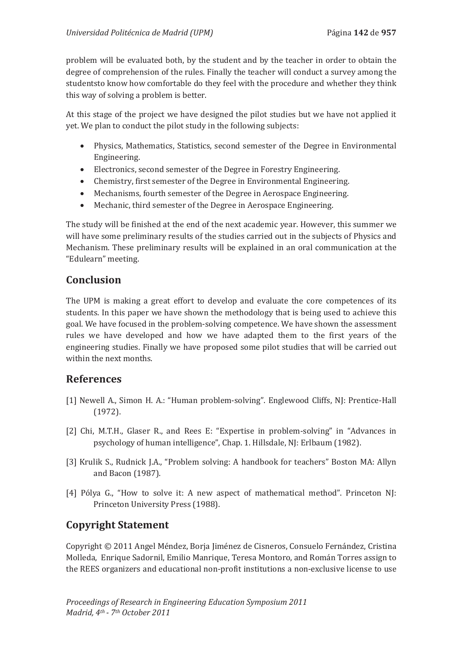problem will be evaluated both, by the student and by the teacher in order to obtain the degree of comprehension of the rules. Finally the teacher will conduct a survey among the studentsto know how comfortable do they feel with the procedure and whether they think this way of solving a problem is better.

At this stage of the project we have designed the pilot studies but we have not applied it yet. We plan to conduct the pilot study in the following subjects:

- Physics, Mathematics, Statistics, second semester of the Degree in Environmental Engineering.
- Electronics, second semester of the Degree in Forestry Engineering.
- Chemistry, first semester of the Degree in Environmental Engineering.
- Mechanisms, fourth semester of the Degree in Aerospace Engineering.
- Mechanic, third semester of the Degree in Aerospace Engineering.

The study will be finished at the end of the next academic year. However, this summer we will have some preliminary results of the studies carried out in the subjects of Physics and Mechanism. These preliminary results will be explained in an oral communication at the "Edulearn" meeting.

# **Conclusion**

The UPM is making a great effort to develop and evaluate the core competences of its students. In this paper we have shown the methodology that is being used to achieve this goal. We have focused in the problem-solving competence. We have shown the assessment rules we have developed and how we have adapted them to the first years of the engineering studies. Finally we have proposed some pilot studies that will be carried out within the next months.

# **References**

- [1] Newell A., Simon H. A.: "Human problem-solving". Englewood Cliffs, NJ: Prentice-Hall (1972).
- [2] Chi, M.T.H., Glaser R., and Rees E: "Expertise in problem-solving" in "Advances in psychology of human intelligence", Chap. 1. Hillsdale, NJ: Erlbaum (1982).
- [3] Krulik S., Rudnick J.A., "Problem solving: A handbook for teachers" Boston MA: Allyn and Bacon (1987).
- [4] Pólya G., "How to solve it: A new aspect of mathematical method". Princeton NJ: Princeton University Press (1988).

# **Copyright Statement**

Copyright © 2011 Angel Méndez, Borja Jiménez de Cisneros, Consuelo Fernández, Cristina Molleda, Enrique Sadornil, Emilio Manrique, Teresa Montoro, and Román Torres assign to the REES organizers and educational non-profit institutions a non-exclusive license to use